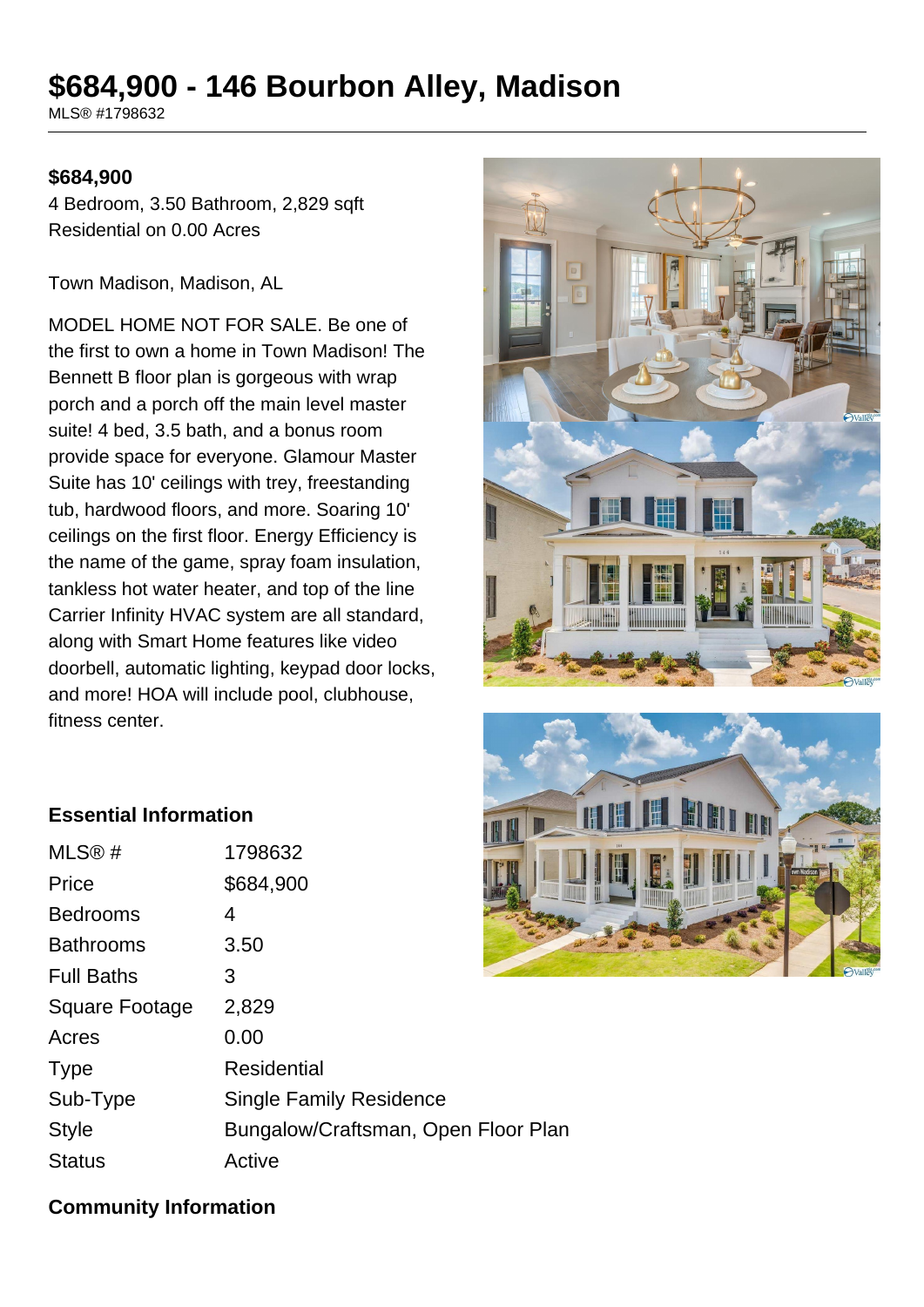# **\$684,900 - 146 Bourbon Alley, Madison**

MLS® #1798632

#### **\$684,900**

4 Bedroom, 3.50 Bathroom, 2,829 sqft Residential on 0.00 Acres

Town Madison, Madison, AL

MODEL HOME NOT FOR SALE. Be one of the first to own a home in Town Madison! The Bennett B floor plan is gorgeous with wrap porch and a porch off the main level master suite! 4 bed, 3.5 bath, and a bonus room provide space for everyone. Glamour Master Suite has 10' ceilings with trey, freestanding tub, hardwood floors, and more. Soaring 10' ceilings on the first floor. Energy Efficiency is the name of the game, spray foam insulation, tankless hot water heater, and top of the line Carrier Infinity HVAC system are all standard, along with Smart Home features like video doorbell, automatic lighting, keypad door locks, and more! HOA will include pool, clubhouse, fitness center.





#### **Essential Information**

| MLS <sup>®</sup> #    | 1798632                             |
|-----------------------|-------------------------------------|
| Price                 | \$684,900                           |
| <b>Bedrooms</b>       | 4                                   |
| <b>Bathrooms</b>      | 3.50                                |
| <b>Full Baths</b>     | 3                                   |
| <b>Square Footage</b> | 2,829                               |
| Acres                 | 0.00                                |
| <b>Type</b>           | <b>Residential</b>                  |
| Sub-Type              | <b>Single Family Residence</b>      |
| <b>Style</b>          | Bungalow/Craftsman, Open Floor Plan |
| <b>Status</b>         | Active                              |
|                       |                                     |

#### **Community Information**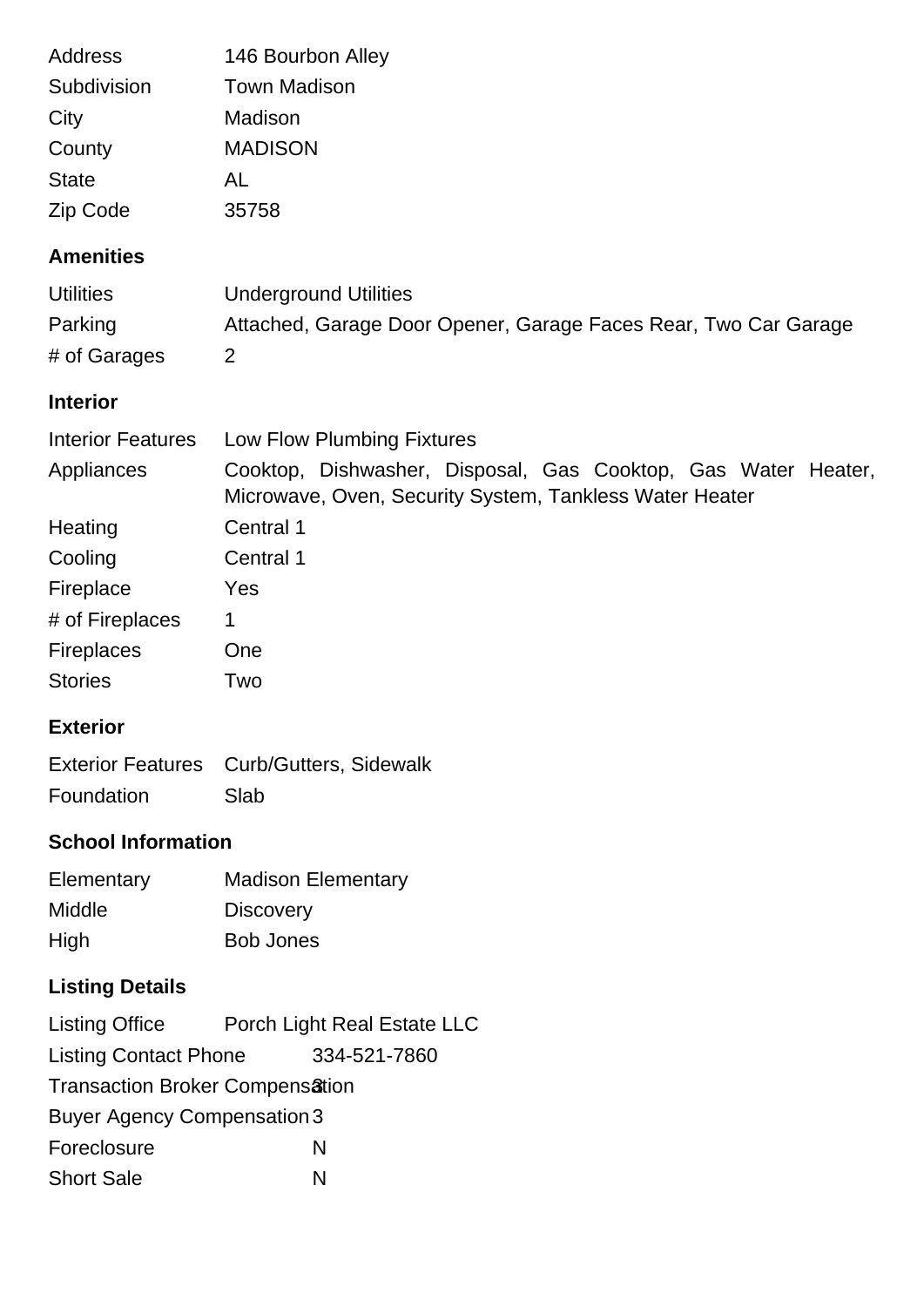| Address                            | 146 Bourbon Alley                                                                                                        |  |
|------------------------------------|--------------------------------------------------------------------------------------------------------------------------|--|
| Subdivision                        | <b>Town Madison</b>                                                                                                      |  |
| City                               | Madison                                                                                                                  |  |
| County                             | <b>MADISON</b>                                                                                                           |  |
| <b>State</b>                       | AL                                                                                                                       |  |
| Zip Code                           | 35758                                                                                                                    |  |
| <b>Amenities</b>                   |                                                                                                                          |  |
| <b>Utilities</b>                   | <b>Underground Utilities</b>                                                                                             |  |
| Parking                            | Attached, Garage Door Opener, Garage Faces Rear, Two Car Garage                                                          |  |
| # of Garages                       | 2                                                                                                                        |  |
| <b>Interior</b>                    |                                                                                                                          |  |
| <b>Interior Features</b>           | Low Flow Plumbing Fixtures                                                                                               |  |
| Appliances                         | Cooktop, Dishwasher, Disposal, Gas Cooktop, Gas Water Heater,<br>Microwave, Oven, Security System, Tankless Water Heater |  |
| Heating                            | Central 1                                                                                                                |  |
| Cooling                            | Central 1                                                                                                                |  |
| Fireplace                          | Yes                                                                                                                      |  |
| # of Fireplaces                    | 1                                                                                                                        |  |
| <b>Fireplaces</b>                  | One                                                                                                                      |  |
| <b>Stories</b>                     | Two                                                                                                                      |  |
| <b>Exterior</b>                    |                                                                                                                          |  |
| <b>Exterior Features</b>           | Curb/Gutters, Sidewalk                                                                                                   |  |
| Foundation                         | Slab                                                                                                                     |  |
| <b>School Information</b>          |                                                                                                                          |  |
| Elementary                         | <b>Madison Elementary</b>                                                                                                |  |
| Middle                             | <b>Discovery</b>                                                                                                         |  |
| High                               | <b>Bob Jones</b>                                                                                                         |  |
| <b>Listing Details</b>             |                                                                                                                          |  |
| <b>Listing Office</b>              | Porch Light Real Estate LLC                                                                                              |  |
| <b>Listing Contact Phone</b>       | 334-521-7860                                                                                                             |  |
| Transaction Broker Compensation    |                                                                                                                          |  |
| <b>Buyer Agency Compensation 3</b> |                                                                                                                          |  |
| Foreclosure                        | N                                                                                                                        |  |
| <b>Short Sale</b>                  | N                                                                                                                        |  |